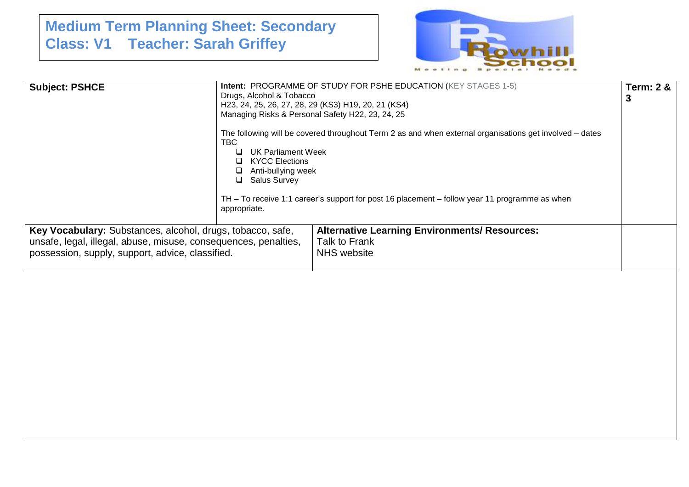## **Medium Term Planning Sheet: Secondary Class: V1 Teacher: Sarah Griffey**



| <b>Subject: PSHCE</b>                                                                                                                                                             | Intent: PROGRAMME OF STUDY FOR PSHE EDUCATION (KEY STAGES 1-5)<br>Drugs, Alcohol & Tobacco<br>H23, 24, 25, 26, 27, 28, 29 (KS3) H19, 20, 21 (KS4)<br>Managing Risks & Personal Safety H22, 23, 24, 25<br>The following will be covered throughout Term 2 as and when external organisations get involved - dates<br><b>TBC</b><br>UK Parliament Week<br>$\Box$<br><b>KYCC Elections</b><br>Anti-bullying week<br><b>Salus Survey</b><br>◻<br>TH – To receive 1:1 career's support for post 16 placement – follow year 11 programme as when<br>appropriate. |                                                                                             |  |  |  |
|-----------------------------------------------------------------------------------------------------------------------------------------------------------------------------------|------------------------------------------------------------------------------------------------------------------------------------------------------------------------------------------------------------------------------------------------------------------------------------------------------------------------------------------------------------------------------------------------------------------------------------------------------------------------------------------------------------------------------------------------------------|---------------------------------------------------------------------------------------------|--|--|--|
| Key Vocabulary: Substances, alcohol, drugs, tobacco, safe,<br>unsafe, legal, illegal, abuse, misuse, consequences, penalties,<br>possession, supply, support, advice, classified. |                                                                                                                                                                                                                                                                                                                                                                                                                                                                                                                                                            | <b>Alternative Learning Environments/ Resources:</b><br>Talk to Frank<br><b>NHS</b> website |  |  |  |
|                                                                                                                                                                                   |                                                                                                                                                                                                                                                                                                                                                                                                                                                                                                                                                            |                                                                                             |  |  |  |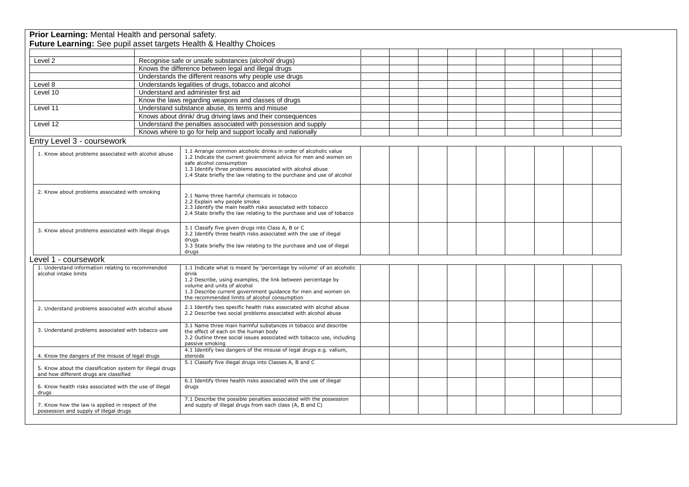| Prior Learning: Mental Health and personal safety.                                                  |                                                        | Future Learning: See pupil asset targets Health & Healthy Choices                                                                                                                                                                                                                                    |  |  |  |  |  |
|-----------------------------------------------------------------------------------------------------|--------------------------------------------------------|------------------------------------------------------------------------------------------------------------------------------------------------------------------------------------------------------------------------------------------------------------------------------------------------------|--|--|--|--|--|
|                                                                                                     |                                                        |                                                                                                                                                                                                                                                                                                      |  |  |  |  |  |
| Level 2                                                                                             |                                                        |                                                                                                                                                                                                                                                                                                      |  |  |  |  |  |
|                                                                                                     |                                                        | Recognise safe or unsafe substances (alcohol/ drugs)<br>Knows the difference between legal and illegal drugs                                                                                                                                                                                         |  |  |  |  |  |
|                                                                                                     |                                                        |                                                                                                                                                                                                                                                                                                      |  |  |  |  |  |
|                                                                                                     | Understands the different reasons why people use drugs |                                                                                                                                                                                                                                                                                                      |  |  |  |  |  |
| Level 8                                                                                             |                                                        | Understands legalities of drugs, tobacco and alcohol                                                                                                                                                                                                                                                 |  |  |  |  |  |
| Level 10                                                                                            |                                                        | Understand and administer first aid                                                                                                                                                                                                                                                                  |  |  |  |  |  |
|                                                                                                     |                                                        | Know the laws regarding weapons and classes of drugs                                                                                                                                                                                                                                                 |  |  |  |  |  |
| Level 11                                                                                            |                                                        | Understand substance abuse, its terms and misuse<br>Knows about drink/ drug driving laws and their consequences                                                                                                                                                                                      |  |  |  |  |  |
|                                                                                                     |                                                        |                                                                                                                                                                                                                                                                                                      |  |  |  |  |  |
| Level 12                                                                                            |                                                        | Understand the penalties associated with possession and supply                                                                                                                                                                                                                                       |  |  |  |  |  |
|                                                                                                     |                                                        | Knows where to go for help and support locally and nationally                                                                                                                                                                                                                                        |  |  |  |  |  |
| Entry Level 3 - coursework                                                                          |                                                        |                                                                                                                                                                                                                                                                                                      |  |  |  |  |  |
| 1. Know about problems associated with alcohol abuse                                                |                                                        | 1.1 Arrange common alcoholic drinks in order of alcoholic value<br>1.2 Indicate the current government advice for men and women on<br>safe alcohol consumption<br>1.3 Identify three problems associated with alcohol abuse<br>1.4 State briefly the law relating to the purchase and use of alcohol |  |  |  |  |  |
| 2. Know about problems associated with smoking                                                      |                                                        | 2.1 Name three harmful chemicals in tobacco<br>2.2 Explain why people smoke<br>2.3 Identify the main health risks associated with tobacco<br>2.4 State briefly the law relating to the purchase and use of tobacco                                                                                   |  |  |  |  |  |
| 3. Know about problems associated with illegal drugs                                                |                                                        | 3.1 Classify five given drugs into Class A, B or C<br>3.2 Identify three health risks associated with the use of illegal<br>drugs<br>3.3 State briefly the law relating to the purchase and use of illegal<br>drugs                                                                                  |  |  |  |  |  |
| Level 1 - coursework                                                                                |                                                        |                                                                                                                                                                                                                                                                                                      |  |  |  |  |  |
| 1. Understand information relating to recommended<br>alcohol intake limits                          |                                                        | 1.1 Indicate what is meant by 'percentage by volume' of an alcoholic<br>drink<br>1.2 Describe, using examples, the link between percentage by<br>volume and units of alcohol<br>1.3 Describe current government guidance for men and women on<br>the recommended limits of alcohol consumption       |  |  |  |  |  |
| 2. Understand problems associated with alcohol abuse                                                |                                                        | 2.1 Identify two specific health risks associated with alcohol abuse<br>2.2 Describe two social problems associated with alcohol abuse                                                                                                                                                               |  |  |  |  |  |
| 3. Understand problems associated with tobacco use                                                  |                                                        | 3.1 Name three main harmful substances in tobacco and describe<br>the effect of each on the human body<br>3.2 Outline three social issues associated with tobacco use, including<br>passive smoking                                                                                                  |  |  |  |  |  |
| 4. Know the dangers of the misuse of legal drugs                                                    |                                                        | 4.1 Identify two dangers of the misuse of legal drugs e.g. valium,<br>steroids                                                                                                                                                                                                                       |  |  |  |  |  |
| 5. Know about the classification system for illegal drugs<br>and how different drugs are classified |                                                        | 5.1 Classify five illegal drugs into Classes A, B and C                                                                                                                                                                                                                                              |  |  |  |  |  |
| 6. Know health risks associated with the use of illegal<br>drugs                                    |                                                        | 6.1 Identify three health risks associated with the use of illegal<br>drugs                                                                                                                                                                                                                          |  |  |  |  |  |
| 7. Know how the law is applied in respect of the<br>possession and supply of illegal drugs          |                                                        | 7.1 Describe the possible penalties associated with the possession<br>and supply of illegal drugs from each class (A, B and C)                                                                                                                                                                       |  |  |  |  |  |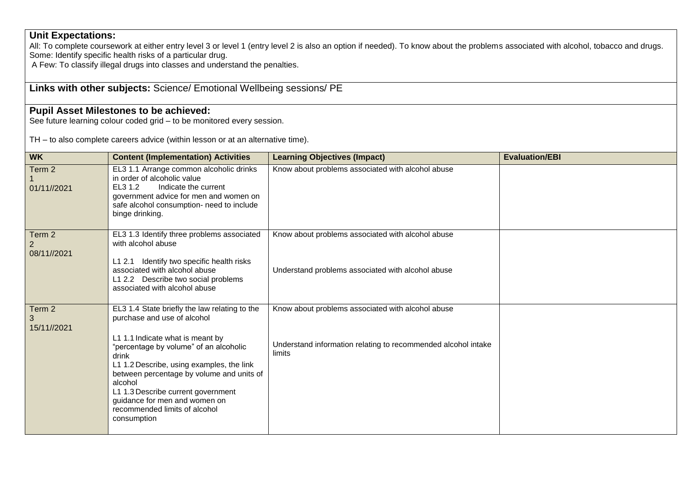## **Unit Expectations:**

All: To complete coursework at either entry level 3 or level 1 (entry level 2 is also an option if needed). To know about the problems associated with alcohol, tobacco and drugs. Some: Identify specific health risks of a particular drug.

A Few: To classify illegal drugs into classes and understand the penalties.

## **Links with other subjects:** Science/ Emotional Wellbeing sessions/ PE

## **Pupil Asset Milestones to be achieved:**

See future learning colour coded grid – to be monitored every session.

TH – to also complete careers advice (within lesson or at an alternative time).

| <b>WK</b>             | <b>Content (Implementation) Activities</b>                                                                                                                                                                                                                                                                                                                                                      | <b>Learning Objectives (Impact)</b>                                                                                          | <b>Evaluation/EBI</b> |
|-----------------------|-------------------------------------------------------------------------------------------------------------------------------------------------------------------------------------------------------------------------------------------------------------------------------------------------------------------------------------------------------------------------------------------------|------------------------------------------------------------------------------------------------------------------------------|-----------------------|
| Term 2<br>01/11//2021 | EL3 1.1 Arrange common alcoholic drinks<br>in order of alcoholic value<br>EL3 1.2<br>Indicate the current<br>government advice for men and women on<br>safe alcohol consumption- need to include<br>binge drinking.                                                                                                                                                                             | Know about problems associated with alcohol abuse                                                                            |                       |
| Term 2<br>08/11//2021 | EL3 1.3 Identify three problems associated<br>with alcohol abuse<br>L1 2.1 Identify two specific health risks<br>associated with alcohol abuse<br>L1 2.2 Describe two social problems<br>associated with alcohol abuse                                                                                                                                                                          | Know about problems associated with alcohol abuse<br>Understand problems associated with alcohol abuse                       |                       |
| Term 2<br>15/11//2021 | EL3 1.4 State briefly the law relating to the<br>purchase and use of alcohol<br>L1 1.1 Indicate what is meant by<br>"percentage by volume" of an alcoholic<br>drink<br>L1 1.2 Describe, using examples, the link<br>between percentage by volume and units of<br>alcohol<br>L1 1.3 Describe current government<br>guidance for men and women on<br>recommended limits of alcohol<br>consumption | Know about problems associated with alcohol abuse<br>Understand information relating to recommended alcohol intake<br>limits |                       |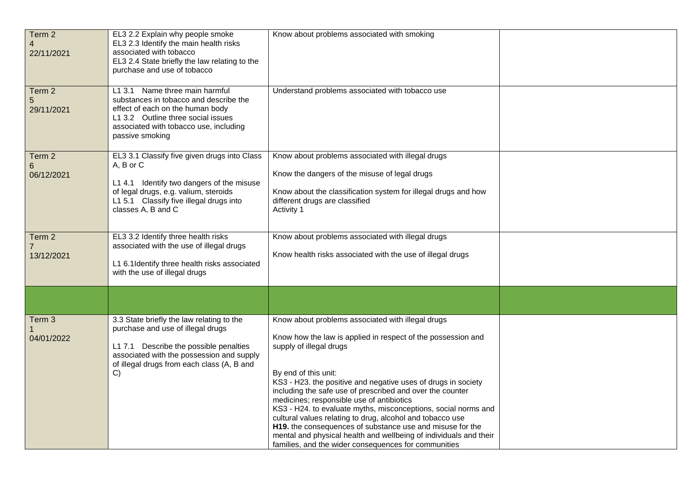| Term 2<br>4<br>22/11/2021 | EL3 2.2 Explain why people smoke<br>EL3 2.3 Identify the main health risks<br>associated with tobacco<br>EL3 2.4 State briefly the law relating to the<br>purchase and use of tobacco                                     | Know about problems associated with smoking                                                                                                                                                                                                                                                                                                                                                                                                                                                                                                                                                                                                                              |  |
|---------------------------|---------------------------------------------------------------------------------------------------------------------------------------------------------------------------------------------------------------------------|--------------------------------------------------------------------------------------------------------------------------------------------------------------------------------------------------------------------------------------------------------------------------------------------------------------------------------------------------------------------------------------------------------------------------------------------------------------------------------------------------------------------------------------------------------------------------------------------------------------------------------------------------------------------------|--|
| Term 2<br>5<br>29/11/2021 | L1 3.1 Name three main harmful<br>substances in tobacco and describe the<br>effect of each on the human body<br>L1 3.2 Outline three social issues<br>associated with tobacco use, including<br>passive smoking           | Understand problems associated with tobacco use                                                                                                                                                                                                                                                                                                                                                                                                                                                                                                                                                                                                                          |  |
| Term 2<br>6<br>06/12/2021 | EL3 3.1 Classify five given drugs into Class<br>A, B or C<br>L1 4.1 Identify two dangers of the misuse<br>of legal drugs, e.g. valium, steroids<br>L1 5.1 Classify five illegal drugs into<br>classes A, B and C          | Know about problems associated with illegal drugs<br>Know the dangers of the misuse of legal drugs<br>Know about the classification system for illegal drugs and how<br>different drugs are classified<br>Activity 1                                                                                                                                                                                                                                                                                                                                                                                                                                                     |  |
| Term 2<br>13/12/2021      | EL3 3.2 Identify three health risks<br>associated with the use of illegal drugs<br>L1 6.1 Identify three health risks associated<br>with the use of illegal drugs                                                         | Know about problems associated with illegal drugs<br>Know health risks associated with the use of illegal drugs                                                                                                                                                                                                                                                                                                                                                                                                                                                                                                                                                          |  |
| Term 3<br>04/01/2022      | 3.3 State briefly the law relating to the<br>purchase and use of illegal drugs<br>L1 7.1 Describe the possible penalties<br>associated with the possession and supply<br>of illegal drugs from each class (A, B and<br>C) | Know about problems associated with illegal drugs<br>Know how the law is applied in respect of the possession and<br>supply of illegal drugs<br>By end of this unit:<br>KS3 - H23. the positive and negative uses of drugs in society<br>including the safe use of prescribed and over the counter<br>medicines; responsible use of antibiotics<br>KS3 - H24. to evaluate myths, misconceptions, social norms and<br>cultural values relating to drug, alcohol and tobacco use<br>H19. the consequences of substance use and misuse for the<br>mental and physical health and wellbeing of individuals and their<br>families, and the wider consequences for communities |  |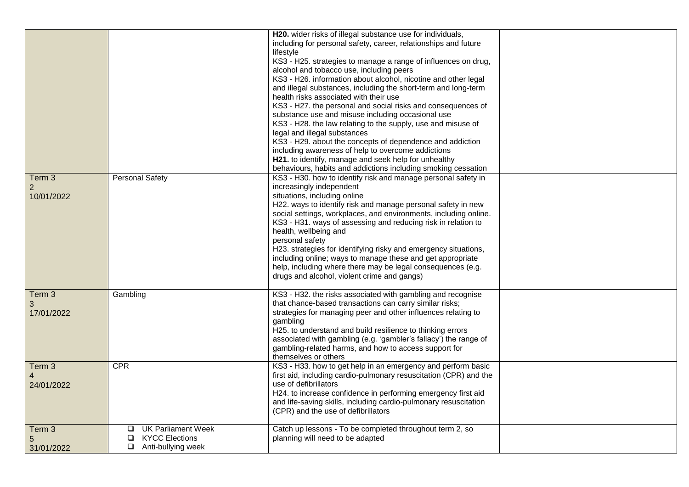|                                        |                                                                                         | H20. wider risks of illegal substance use for individuals,<br>including for personal safety, career, relationships and future<br>lifestyle<br>KS3 - H25. strategies to manage a range of influences on drug,<br>alcohol and tobacco use, including peers<br>KS3 - H26. information about alcohol, nicotine and other legal<br>and illegal substances, including the short-term and long-term<br>health risks associated with their use<br>KS3 - H27. the personal and social risks and consequences of<br>substance use and misuse including occasional use                                                               |  |
|----------------------------------------|-----------------------------------------------------------------------------------------|---------------------------------------------------------------------------------------------------------------------------------------------------------------------------------------------------------------------------------------------------------------------------------------------------------------------------------------------------------------------------------------------------------------------------------------------------------------------------------------------------------------------------------------------------------------------------------------------------------------------------|--|
|                                        |                                                                                         | KS3 - H28. the law relating to the supply, use and misuse of<br>legal and illegal substances<br>KS3 - H29. about the concepts of dependence and addiction<br>including awareness of help to overcome addictions<br>H21. to identify, manage and seek help for unhealthy<br>behaviours, habits and addictions including smoking cessation                                                                                                                                                                                                                                                                                  |  |
| Term 3<br>$\overline{2}$<br>10/01/2022 | <b>Personal Safety</b>                                                                  | KS3 - H30. how to identify risk and manage personal safety in<br>increasingly independent<br>situations, including online<br>H22. ways to identify risk and manage personal safety in new<br>social settings, workplaces, and environments, including online.<br>KS3 - H31. ways of assessing and reducing risk in relation to<br>health, wellbeing and<br>personal safety<br>H23. strategies for identifying risky and emergency situations,<br>including online; ways to manage these and get appropriate<br>help, including where there may be legal consequences (e.g.<br>drugs and alcohol, violent crime and gangs) |  |
| Term 3<br>3<br>17/01/2022              | Gambling                                                                                | KS3 - H32. the risks associated with gambling and recognise<br>that chance-based transactions can carry similar risks;<br>strategies for managing peer and other influences relating to<br>gambling<br>H25. to understand and build resilience to thinking errors<br>associated with gambling (e.g. 'gambler's fallacy') the range of<br>gambling-related harms, and how to access support for<br>themselves or others                                                                                                                                                                                                    |  |
| Term 3<br>24/01/2022                   | <b>CPR</b>                                                                              | KS3 - H33. how to get help in an emergency and perform basic<br>first aid, including cardio-pulmonary resuscitation (CPR) and the<br>use of defibrillators<br>H24. to increase confidence in performing emergency first aid<br>and life-saving skills, including cardio-pulmonary resuscitation<br>(CPR) and the use of defibrillators                                                                                                                                                                                                                                                                                    |  |
| Term 3<br>5<br>31/01/2022              | <b>UK Parliament Week</b><br>⊔<br><b>KYCC Elections</b><br>❏<br>Anti-bullying week<br>❏ | Catch up lessons - To be completed throughout term 2, so<br>planning will need to be adapted                                                                                                                                                                                                                                                                                                                                                                                                                                                                                                                              |  |